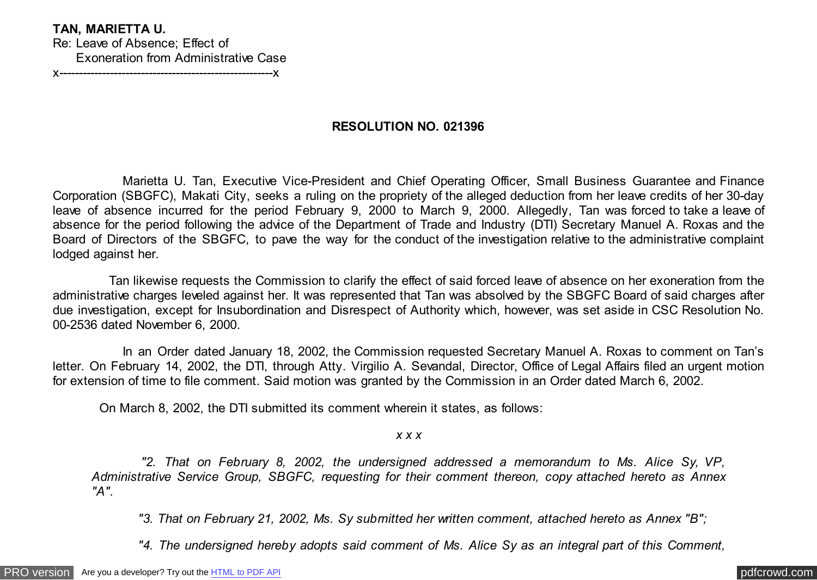## **TAN, MARIETTA U.**

Re: Leave of Absence; Effect of Exoneration from Administrative Case

x-------------------------------------------------------x

## **RESOLUTION NO. 021396**

 Marietta U. Tan, Executive Vice-President and Chief Operating Officer, Small Business Guarantee and Finance Corporation (SBGFC), Makati City, seeks a ruling on the propriety of the alleged deduction from her leave credits of her 30-day leave of absence incurred for the period February 9, 2000 to March 9, 2000. Allegedly, Tan was forced to take a leave of absence for the period following the advice of the Department of Trade and Industry (DTI) Secretary Manuel A. Roxas and the Board of Directors of the SBGFC, to pave the way for the conduct of the investigation relative to the administrative complaint lodged against her.

 Tan likewise requests the Commission to clarify the effect of said forced leave of absence on her exoneration from the administrative charges leveled against her. It was represented that Tan was absolved by the SBGFC Board of said charges after due investigation, except for Insubordination and Disrespect of Authority which, however, was set aside in CSC Resolution No. 00-2536 dated November 6, 2000.

In an Order dated January 18, 2002, the Commission requested Secretary Manuel A. Roxas to comment on Tan's letter. On February 14, 2002, the DTI, through Atty. Virgilio A. Sevandal, Director, Office of Legal Affairs filed an urgent motion for extension of time to file comment. Said motion was granted by the Commission in an Order dated March 6, 2002.

On March 8, 2002, the DTI submitted its comment wherein it states, as follows:

*x x x*

 *"2. That on February 8, 2002, the undersigned addressed a memorandum to Ms. Alice Sy, VP, Administrative Service Group, SBGFC, requesting for their comment thereon, copy attached hereto as Annex "A".*

 *"3. That on February 21, 2002, Ms. Sy submitted her written comment, attached hereto as Annex "B";*

 *"4. The undersigned hereby adopts said comment of Ms. Alice Sy as an integral part of this Comment,*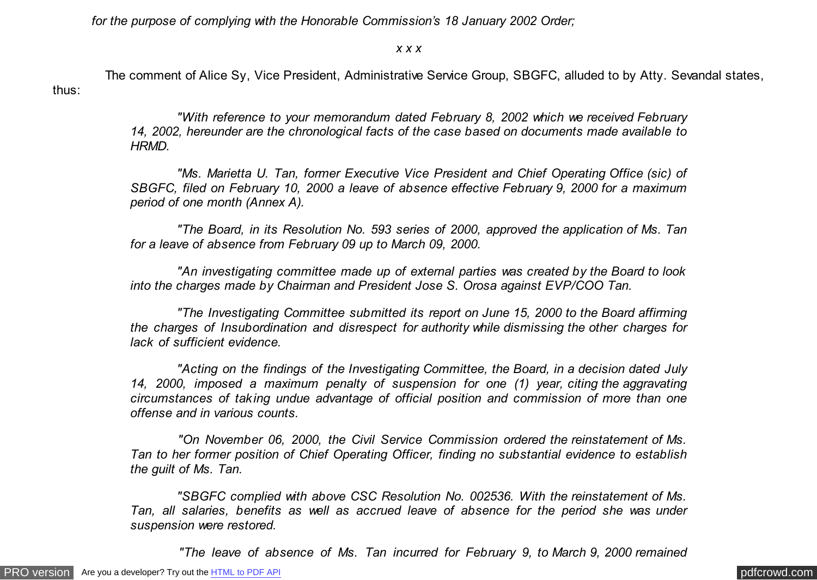*for the purpose of complying with the Honorable Commission's 18 January 2002 Order;*

## *x x x*

 The comment of Alice Sy, Vice President, Administrative Service Group, SBGFC, alluded to by Atty. Sevandal states, thus:

> *"With reference to your memorandum dated February 8, 2002 which we received February 14, 2002, hereunder are the chronological facts of the case based on documents made available to HRMD.*

> *"Ms. Marietta U. Tan, former Executive Vice President and Chief Operating Office (sic) of SBGFC, filed on February 10, 2000 a leave of absence effective February 9, 2000 for a maximum period of one month (Annex A).*

> *"The Board, in its Resolution No. 593 series of 2000, approved the application of Ms. Tan for a leave of absence from February 09 up to March 09, 2000.*

> *"An investigating committee made up of external parties was created by the Board to look into the charges made by Chairman and President Jose S. Orosa against EVP/COO Tan.*

> *"The Investigating Committee submitted its report on June 15, 2000 to the Board affirming the charges of Insubordination and disrespect for authority while dismissing the other charges for lack of sufficient evidence.*

> *"Acting on the findings of the Investigating Committee, the Board, in a decision dated July 14, 2000, imposed a maximum penalty of suspension for one (1) year, citing the aggravating circumstances of taking undue advantage of official position and commission of more than one offense and in various counts.*

> *"On November 06, 2000, the Civil Service Commission ordered the reinstatement of Ms. Tan to her former position of Chief Operating Officer, finding no substantial evidence to establish the guilt of Ms. Tan.*

> *"SBGFC complied with above CSC Resolution No. 002536. With the reinstatement of Ms. Tan, all salaries, benefits as well as accrued leave of absence for the period she was under suspension were restored.*

 *"The leave of absence of Ms. Tan incurred for February 9, to March 9, 2000 remained*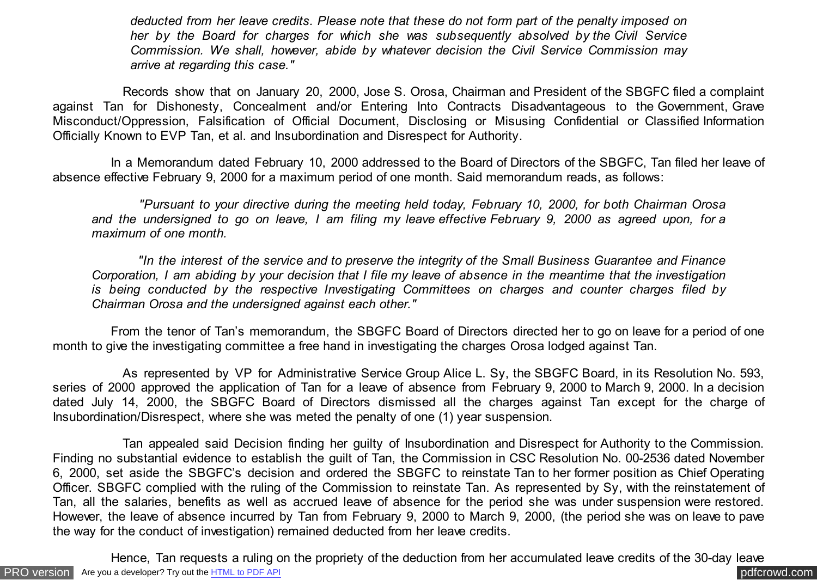*deducted from her leave credits. Please note that these do not form part of the penalty imposed on her by the Board for charges for which she was subsequently absolved by the Civil Service Commission. We shall, however, abide by whatever decision the Civil Service Commission may arrive at regarding this case."*

 Records show that on January 20, 2000, Jose S. Orosa, Chairman and President of the SBGFC filed a complaint against Tan for Dishonesty, Concealment and/or Entering Into Contracts Disadvantageous to the Government, Grave Misconduct/Oppression, Falsification of Official Document, Disclosing or Misusing Confidential or Classified Information Officially Known to EVP Tan, et al. and Insubordination and Disrespect for Authority.

 In a Memorandum dated February 10, 2000 addressed to the Board of Directors of the SBGFC, Tan filed her leave of absence effective February 9, 2000 for a maximum period of one month. Said memorandum reads, as follows:

 *"Pursuant to your directive during the meeting held today, February 10, 2000, for both Chairman Orosa and the undersigned to go on leave, I am filing my leave effective February 9, 2000 as agreed upon, for a maximum of one month.*

 *"In the interest of the service and to preserve the integrity of the Small Business Guarantee and Finance Corporation, I am abiding by your decision that I file my leave of absence in the meantime that the investigation is being conducted by the respective Investigating Committees on charges and counter charges filed by Chairman Orosa and the undersigned against each other."*

 From the tenor of Tan's memorandum, the SBGFC Board of Directors directed her to go on leave for a period of one month to give the investigating committee a free hand in investigating the charges Orosa lodged against Tan.

 As represented by VP for Administrative Service Group Alice L. Sy, the SBGFC Board, in its Resolution No. 593, series of 2000 approved the application of Tan for a leave of absence from February 9, 2000 to March 9, 2000. In a decision dated July 14, 2000, the SBGFC Board of Directors dismissed all the charges against Tan except for the charge of Insubordination/Disrespect, where she was meted the penalty of one (1) year suspension.

 Tan appealed said Decision finding her guilty of Insubordination and Disrespect for Authority to the Commission. Finding no substantial evidence to establish the guilt of Tan, the Commission in CSC Resolution No. 00-2536 dated November 6, 2000, set aside the SBGFC's decision and ordered the SBGFC to reinstate Tan to her former position as Chief Operating Officer. SBGFC complied with the ruling of the Commission to reinstate Tan. As represented by Sy, with the reinstatement of Tan, all the salaries, benefits as well as accrued leave of absence for the period she was under suspension were restored. However, the leave of absence incurred by Tan from February 9, 2000 to March 9, 2000, (the period she was on leave to pave the way for the conduct of investigation) remained deducted from her leave credits.

[PRO version](http://pdfcrowd.com/customize/) Are you a developer? Try out th[e HTML to PDF API](http://pdfcrowd.com/html-to-pdf-api/?ref=pdf) process and the community of the HTML to PDF API posterior and the community of the community of the community of the community of the community of the community Hence, Tan requests a ruling on the propriety of the deduction from her accumulated leave credits of the 30-day leave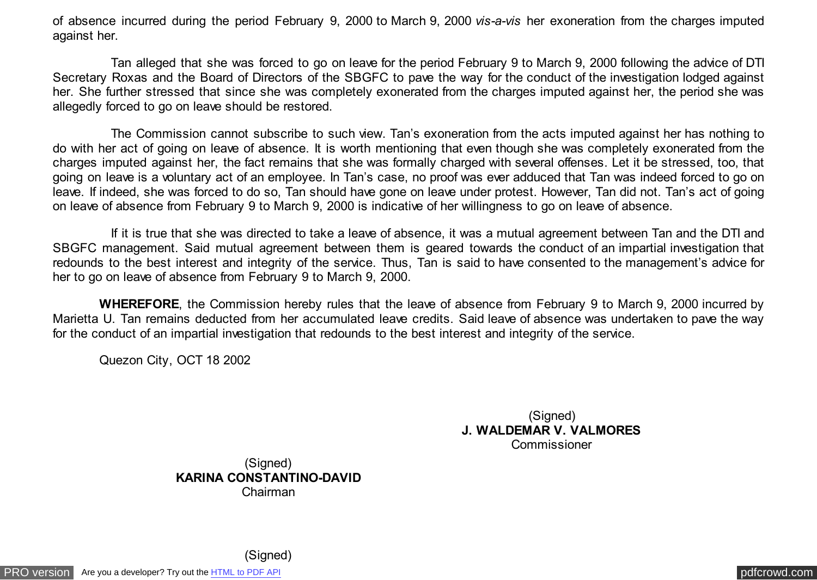of absence incurred during the period February 9, 2000 to March 9, 2000 *vis-a-vis* her exoneration from the charges imputed against her.

 Tan alleged that she was forced to go on leave for the period February 9 to March 9, 2000 following the advice of DTI Secretary Roxas and the Board of Directors of the SBGFC to pave the way for the conduct of the investigation lodged against her. She further stressed that since she was completely exonerated from the charges imputed against her, the period she was allegedly forced to go on leave should be restored.

 The Commission cannot subscribe to such view. Tan's exoneration from the acts imputed against her has nothing to do with her act of going on leave of absence. It is worth mentioning that even though she was completely exonerated from the charges imputed against her, the fact remains that she was formally charged with several offenses. Let it be stressed, too, that going on leave is a voluntary act of an employee. In Tan's case, no proof was ever adduced that Tan was indeed forced to go on leave. If indeed, she was forced to do so, Tan should have gone on leave under protest. However, Tan did not. Tan's act of going on leave of absence from February 9 to March 9, 2000 is indicative of her willingness to go on leave of absence.

 If it is true that she was directed to take a leave of absence, it was a mutual agreement between Tan and the DTI and SBGFC management. Said mutual agreement between them is geared towards the conduct of an impartial investigation that redounds to the best interest and integrity of the service. Thus, Tan is said to have consented to the management's advice for her to go on leave of absence from February 9 to March 9, 2000.

 **WHEREFORE**, the Commission hereby rules that the leave of absence from February 9 to March 9, 2000 incurred by Marietta U. Tan remains deducted from her accumulated leave credits. Said leave of absence was undertaken to pave the way for the conduct of an impartial investigation that redounds to the best interest and integrity of the service.

Quezon City, OCT 18 2002

(Signed) **J. WALDEMAR V. VALMORES** Commissioner

(Signed) **KARINA CONSTANTINO-DAVID** Chairman